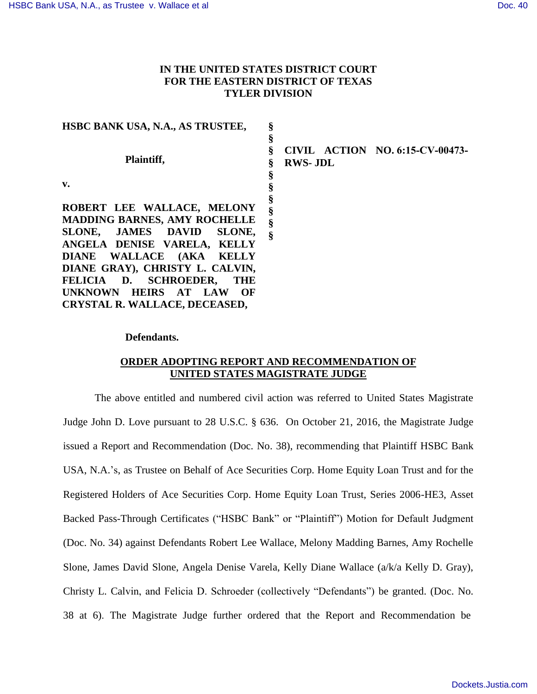## **IN THE UNITED STATES DISTRICT COURT FOR THE EASTERN DISTRICT OF TEXAS TYLER DIVISION**

| HSBC BANK USA, N.A., AS TRUSTEE,                                                                                                                                | §                            |                |                                 |
|-----------------------------------------------------------------------------------------------------------------------------------------------------------------|------------------------------|----------------|---------------------------------|
| Plaintiff,                                                                                                                                                      | §                            | <b>RWS-JDL</b> | CIVIL ACTION NO. 6:15-CV-00473- |
| v.                                                                                                                                                              | §                            |                |                                 |
| ROBERT LEE WALLACE, MELONY<br><b>MADDING BARNES, AMY ROCHELLE</b><br>SLONE, JAMES DAVID<br>SLONE,<br>ANGELA DENISE VARELA, KELLY<br>DIANE WALLACE (AKA<br>KELLY | §<br>§<br>$\hat{\mathbf{S}}$ |                |                                 |
| DIANE GRAY), CHRISTY L. CALVIN,<br>FELICIA D. SCHROEDER,<br><b>THE</b><br><b>UNKNOWN</b><br><b>HEIRS</b><br>OF<br>AT<br>LAW                                     |                              |                |                                 |
| CRYSTAL R. WALLACE, DECEASED,                                                                                                                                   |                              |                |                                 |

## **Defendants.**

## **ORDER ADOPTING REPORT AND RECOMMENDATION OF UNITED STATES MAGISTRATE JUDGE**

The above entitled and numbered civil action was referred to United States Magistrate Judge John D. Love pursuant to 28 U.S.C. § 636. On October 21, 2016, the Magistrate Judge issued a Report and Recommendation (Doc. No. 38), recommending that Plaintiff HSBC Bank USA, N.A.'s, as Trustee on Behalf of Ace Securities Corp. Home Equity Loan Trust and for the Registered Holders of Ace Securities Corp. Home Equity Loan Trust, Series 2006-HE3, Asset Backed Pass-Through Certificates ("HSBC Bank" or "Plaintiff") Motion for Default Judgment (Doc. No. 34) against Defendants Robert Lee Wallace, Melony Madding Barnes, Amy Rochelle Slone, James David Slone, Angela Denise Varela, Kelly Diane Wallace (a/k/a Kelly D. Gray), Christy L. Calvin, and Felicia D. Schroeder (collectively "Defendants") be granted. (Doc. No. 38 at 6). The Magistrate Judge further ordered that the Report and Recommendation be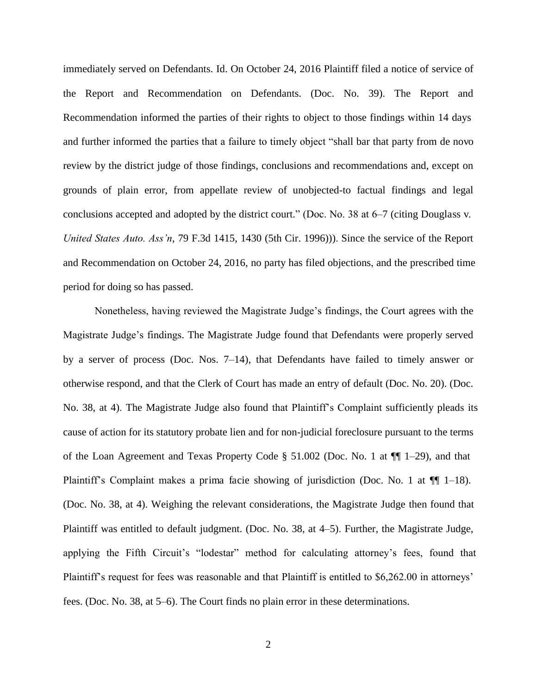immediately served on Defendants. Id. On October 24, 2016 Plaintiff filed a notice of service of the Report and Recommendation on Defendants. (Doc. No. 39). The Report and Recommendation informed the parties of their rights to object to those findings within 14 days and further informed the parties that a failure to timely object "shall bar that party from de novo review by the district judge of those findings, conclusions and recommendations and, except on grounds of plain error, from appellate review of unobjected-to factual findings and legal conclusions accepted and adopted by the district court." (Doc. No. 38 at 6–7 (citing Douglass v. *United States Auto. Ass'n*, 79 F.3d 1415, 1430 (5th Cir. 1996))). Since the service of the Report and Recommendation on October 24, 2016, no party has filed objections, and the prescribed time period for doing so has passed.

Nonetheless, having reviewed the Magistrate Judge's findings, the Court agrees with the Magistrate Judge's findings. The Magistrate Judge found that Defendants were properly served by a server of process (Doc. Nos. 7–14), that Defendants have failed to timely answer or otherwise respond, and that the Clerk of Court has made an entry of default (Doc. No. 20). (Doc. No. 38, at 4). The Magistrate Judge also found that Plaintiff's Complaint sufficiently pleads its cause of action for its statutory probate lien and for non-judicial foreclosure pursuant to the terms of the Loan Agreement and Texas Property Code  $\S$  51.002 (Doc. No. 1 at  $\P$  $\P$  1–29), and that Plaintiff's Complaint makes a prima facie showing of jurisdiction (Doc. No. 1 at ¶¶ 1–18). (Doc. No. 38, at 4). Weighing the relevant considerations, the Magistrate Judge then found that Plaintiff was entitled to default judgment. (Doc. No. 38, at 4–5). Further, the Magistrate Judge, applying the Fifth Circuit's "lodestar" method for calculating attorney's fees, found that Plaintiff's request for fees was reasonable and that Plaintiff is entitled to \$6,262.00 in attorneys' fees. (Doc. No. 38, at 5–6). The Court finds no plain error in these determinations.